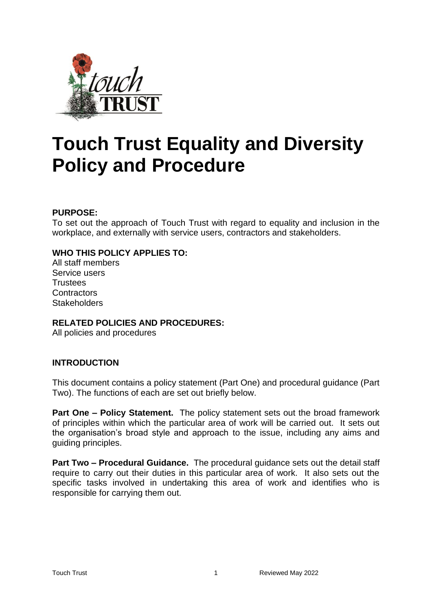

# **Touch Trust Equality and Diversity Policy and Procedure**

## **PURPOSE:**

To set out the approach of Touch Trust with regard to equality and inclusion in the workplace, and externally with service users, contractors and stakeholders.

## **WHO THIS POLICY APPLIES TO:**

All staff members Service users **Trustees Contractors Stakeholders** 

## **RELATED POLICIES AND PROCEDURES:**

All policies and procedures

## **INTRODUCTION**

This document contains a policy statement (Part One) and procedural guidance (Part Two). The functions of each are set out briefly below.

**Part One – Policy Statement.** The policy statement sets out the broad framework of principles within which the particular area of work will be carried out. It sets out the organisation's broad style and approach to the issue, including any aims and guiding principles.

**Part Two – Procedural Guidance.** The procedural guidance sets out the detail staff require to carry out their duties in this particular area of work. It also sets out the specific tasks involved in undertaking this area of work and identifies who is responsible for carrying them out.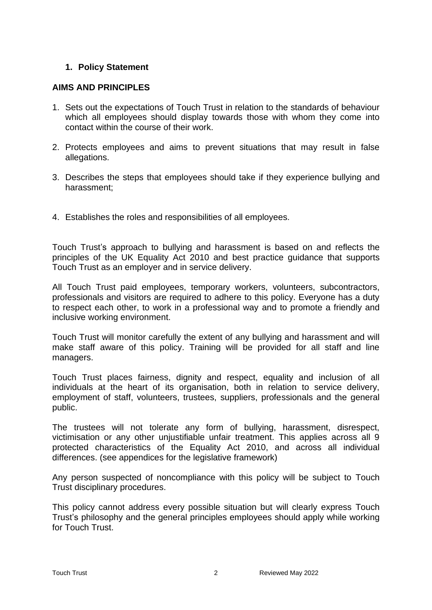## **1. Policy Statement**

## **AIMS AND PRINCIPLES**

- 1. Sets out the expectations of Touch Trust in relation to the standards of behaviour which all employees should display towards those with whom they come into contact within the course of their work.
- 2. Protects employees and aims to prevent situations that may result in false allegations.
- 3. Describes the steps that employees should take if they experience bullying and harassment;
- 4. Establishes the roles and responsibilities of all employees.

Touch Trust's approach to bullying and harassment is based on and reflects the principles of the UK Equality Act 2010 and best practice guidance that supports Touch Trust as an employer and in service delivery.

All Touch Trust paid employees, temporary workers, volunteers, subcontractors, professionals and visitors are required to adhere to this policy. Everyone has a duty to respect each other, to work in a professional way and to promote a friendly and inclusive working environment.

Touch Trust will monitor carefully the extent of any bullying and harassment and will make staff aware of this policy. Training will be provided for all staff and line managers.

Touch Trust places fairness, dignity and respect, equality and inclusion of all individuals at the heart of its organisation, both in relation to service delivery, employment of staff, volunteers, trustees, suppliers, professionals and the general public.

The trustees will not tolerate any form of bullying, harassment, disrespect, victimisation or any other unjustifiable unfair treatment. This applies across all 9 protected characteristics of the Equality Act 2010, and across all individual differences. (see appendices for the legislative framework)

Any person suspected of noncompliance with this policy will be subject to Touch Trust disciplinary procedures.

This policy cannot address every possible situation but will clearly express Touch Trust's philosophy and the general principles employees should apply while working for Touch Trust.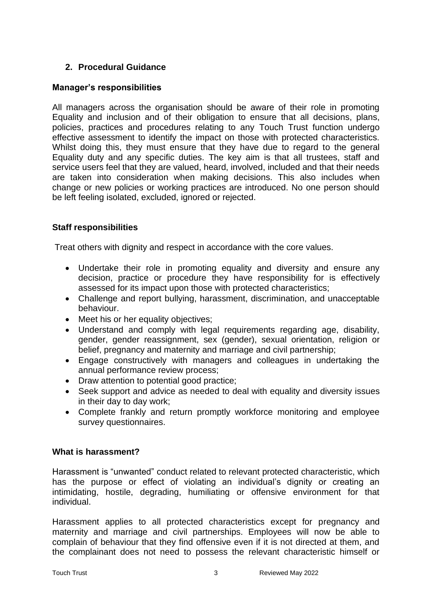# **2. Procedural Guidance**

## **Manager's responsibilities**

All managers across the organisation should be aware of their role in promoting Equality and inclusion and of their obligation to ensure that all decisions, plans, policies, practices and procedures relating to any Touch Trust function undergo effective assessment to identify the impact on those with protected characteristics. Whilst doing this, they must ensure that they have due to regard to the general Equality duty and any specific duties. The key aim is that all trustees, staff and service users feel that they are valued, heard, involved, included and that their needs are taken into consideration when making decisions. This also includes when change or new policies or working practices are introduced. No one person should be left feeling isolated, excluded, ignored or rejected.

# **Staff responsibilities**

Treat others with dignity and respect in accordance with the core values.

- Undertake their role in promoting equality and diversity and ensure any decision, practice or procedure they have responsibility for is effectively assessed for its impact upon those with protected characteristics;
- Challenge and report bullying, harassment, discrimination, and unacceptable behaviour.
- Meet his or her equality objectives;
- Understand and comply with legal requirements regarding age, disability, gender, gender reassignment, sex (gender), sexual orientation, religion or belief, pregnancy and maternity and marriage and civil partnership;
- Engage constructively with managers and colleagues in undertaking the annual performance review process;
- Draw attention to potential good practice;
- Seek support and advice as needed to deal with equality and diversity issues in their day to day work;
- Complete frankly and return promptly workforce monitoring and employee survey questionnaires.

## **What is harassment?**

Harassment is "unwanted" conduct related to relevant protected characteristic, which has the purpose or effect of violating an individual's dignity or creating an intimidating, hostile, degrading, humiliating or offensive environment for that individual.

Harassment applies to all protected characteristics except for pregnancy and maternity and marriage and civil partnerships. Employees will now be able to complain of behaviour that they find offensive even if it is not directed at them, and the complainant does not need to possess the relevant characteristic himself or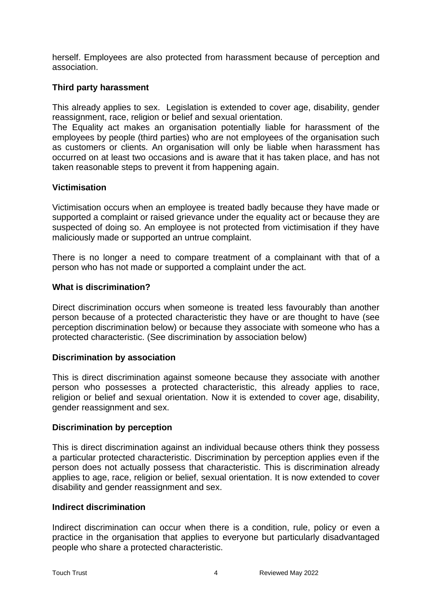herself. Employees are also protected from harassment because of perception and association.

## **Third party harassment**

This already applies to sex. Legislation is extended to cover age, disability, gender reassignment, race, religion or belief and sexual orientation.

The Equality act makes an organisation potentially liable for harassment of the employees by people (third parties) who are not employees of the organisation such as customers or clients. An organisation will only be liable when harassment has occurred on at least two occasions and is aware that it has taken place, and has not taken reasonable steps to prevent it from happening again.

## **Victimisation**

Victimisation occurs when an employee is treated badly because they have made or supported a complaint or raised grievance under the equality act or because they are suspected of doing so. An employee is not protected from victimisation if they have maliciously made or supported an untrue complaint.

There is no longer a need to compare treatment of a complainant with that of a person who has not made or supported a complaint under the act.

#### **What is discrimination?**

Direct discrimination occurs when someone is treated less favourably than another person because of a protected characteristic they have or are thought to have (see perception discrimination below) or because they associate with someone who has a protected characteristic. (See discrimination by association below)

#### **Discrimination by association**

This is direct discrimination against someone because they associate with another person who possesses a protected characteristic, this already applies to race, religion or belief and sexual orientation. Now it is extended to cover age, disability, gender reassignment and sex.

## **Discrimination by perception**

This is direct discrimination against an individual because others think they possess a particular protected characteristic. Discrimination by perception applies even if the person does not actually possess that characteristic. This is discrimination already applies to age, race, religion or belief, sexual orientation. It is now extended to cover disability and gender reassignment and sex.

## **Indirect discrimination**

Indirect discrimination can occur when there is a condition, rule, policy or even a practice in the organisation that applies to everyone but particularly disadvantaged people who share a protected characteristic.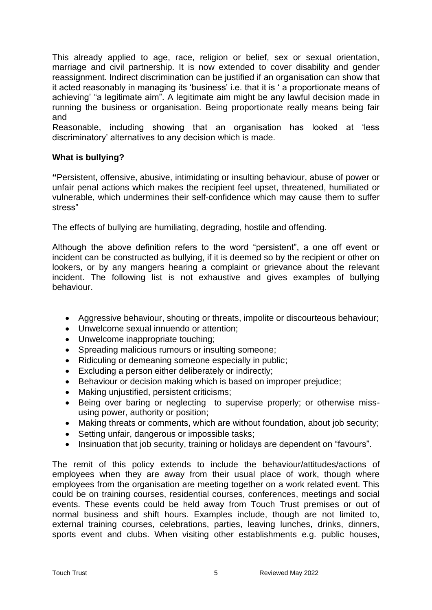This already applied to age, race, religion or belief, sex or sexual orientation, marriage and civil partnership. It is now extended to cover disability and gender reassignment. Indirect discrimination can be justified if an organisation can show that it acted reasonably in managing its 'business' i.e. that it is ' a proportionate means of achieving' "a legitimate aim". A legitimate aim might be any lawful decision made in running the business or organisation. Being proportionate really means being fair and

Reasonable, including showing that an organisation has looked at 'less discriminatory' alternatives to any decision which is made.

## **What is bullying?**

**"**Persistent, offensive, abusive, intimidating or insulting behaviour, abuse of power or unfair penal actions which makes the recipient feel upset, threatened, humiliated or vulnerable, which undermines their self-confidence which may cause them to suffer stress"

The effects of bullying are humiliating, degrading, hostile and offending.

Although the above definition refers to the word "persistent", a one off event or incident can be constructed as bullying, if it is deemed so by the recipient or other on lookers, or by any mangers hearing a complaint or grievance about the relevant incident. The following list is not exhaustive and gives examples of bullying behaviour.

- Aggressive behaviour, shouting or threats, impolite or discourteous behaviour;
- Unwelcome sexual innuendo or attention;
- Unwelcome inappropriate touching;
- Spreading malicious rumours or insulting someone;
- Ridiculing or demeaning someone especially in public;
- Excluding a person either deliberately or indirectly;
- Behaviour or decision making which is based on improper prejudice;
- Making unjustified, persistent criticisms;
- Being over baring or neglecting to supervise properly; or otherwise missusing power, authority or position;
- Making threats or comments, which are without foundation, about job security;
- Setting unfair, dangerous or impossible tasks;
- Insinuation that job security, training or holidays are dependent on "favours".

The remit of this policy extends to include the behaviour/attitudes/actions of employees when they are away from their usual place of work, though where employees from the organisation are meeting together on a work related event. This could be on training courses, residential courses, conferences, meetings and social events. These events could be held away from Touch Trust premises or out of normal business and shift hours. Examples include, though are not limited to, external training courses, celebrations, parties, leaving lunches, drinks, dinners, sports event and clubs. When visiting other establishments e.g. public houses,